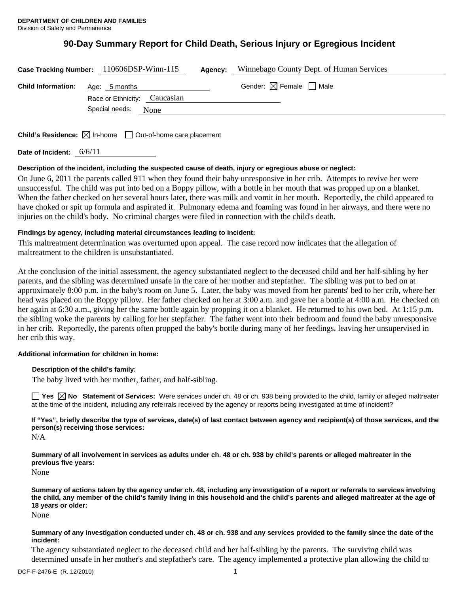# **90-Day Summary Report for Child Death, Serious Injury or Egregious Incident**

|                           | Case Tracking Number: 110606DSP-Winn-115      | Winnebago County Dept. of Human Services<br>Agency: |
|---------------------------|-----------------------------------------------|-----------------------------------------------------|
| <b>Child Information:</b> | Age: 5 months<br>Race or Ethnicity: Caucasian | Gender: $\boxtimes$ Female $\Box$ Male              |
|                           | Special needs:<br>None                        |                                                     |
|                           |                                               |                                                     |

**Child's Residence:**  $\boxtimes$  In-home  $\Box$  Out-of-home care placement

**Date of Incident:** 6/6/11

#### **Description of the incident, including the suspected cause of death, injury or egregious abuse or neglect:**

On June 6, 2011 the parents called 911 when they found their baby unresponsive in her crib. Attempts to revive her were unsuccessful. The child was put into bed on a Boppy pillow, with a bottle in her mouth that was propped up on a blanket. When the father checked on her several hours later, there was milk and vomit in her mouth. Reportedly, the child appeared to have choked or spit up formula and aspirated it. Pulmonary edema and foaming was found in her airways, and there were no injuries on the child's body. No criminal charges were filed in connection with the child's death.

# **Findings by agency, including material circumstances leading to incident:**

This maltreatment determination was overturned upon appeal. The case record now indicates that the allegation of maltreatment to the children is unsubstantiated.

At the conclusion of the initial assessment, the agency substantiated neglect to the deceased child and her half-sibling by her parents, and the sibling was determined unsafe in the care of her mother and stepfather. The sibling was put to bed on at approximately 8:00 p.m. in the baby's room on June 5. Later, the baby was moved from her parents' bed to her crib, where her head was placed on the Boppy pillow. Her father checked on her at 3:00 a.m. and gave her a bottle at 4:00 a.m. He checked on her again at 6:30 a.m., giving her the same bottle again by propping it on a blanket. He returned to his own bed. At 1:15 p.m. the sibling woke the parents by calling for her stepfather. The father went into their bedroom and found the baby unresponsive in her crib. Reportedly, the parents often propped the baby's bottle during many of her feedings, leaving her unsupervised in her crib this way.

# **Additional information for children in home:**

#### **Description of the child's family:**

The baby lived with her mother, father, and half-sibling.

**Yes No Statement of Services:** Were services under ch. 48 or ch. 938 being provided to the child, family or alleged maltreater at the time of the incident, including any referrals received by the agency or reports being investigated at time of incident?

**If "Yes", briefly describe the type of services, date(s) of last contact between agency and recipient(s) of those services, and the person(s) receiving those services:** 

N/A

**Summary of all involvement in services as adults under ch. 48 or ch. 938 by child's parents or alleged maltreater in the previous five years:** 

None

**Summary of actions taken by the agency under ch. 48, including any investigation of a report or referrals to services involving the child, any member of the child's family living in this household and the child's parents and alleged maltreater at the age of 18 years or older:** 

None

#### **Summary of any investigation conducted under ch. 48 or ch. 938 and any services provided to the family since the date of the incident:**

The agency substantiated neglect to the deceased child and her half-sibling by the parents. The surviving child was determined unsafe in her mother's and stepfather's care. The agency implemented a protective plan allowing the child to